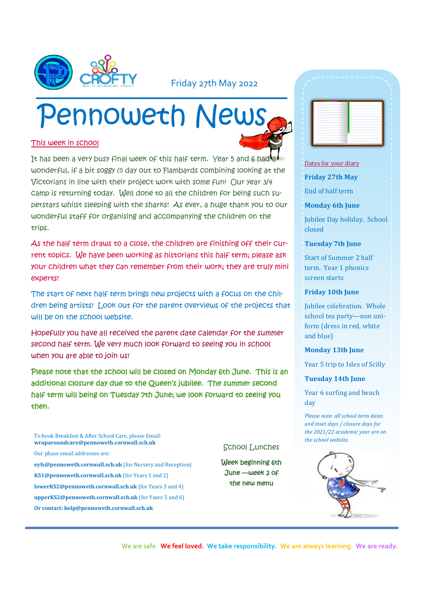

## Friday 27th May 2022

# Pennoweth News

## This week in school

It has been a very busy final week of this half term. Year 5 and 6 had wonderful, if a bit soggy (!) day out to Flambards combining looking at the Victorians in line with their project work with some fun! Our year 3/4 camp is returning today. Well done to all the children for being such superstars whilst sleeping with the sharks! As ever, a huge thank you to our wonderful staff for organising and accompanying the children on the trips.

As the half term draws to a close, the children are finishing off their current topics. We have been working as historians this half term; please ask your children what they can remember from their work; they are truly mini experts!

The start of next half term brings new projects with a focus on the children being artists! Look out for the parent overviews of the projects that will be on the school website.

Hopefully you have all received the parent date calendar for the summer second half term. We very much look forward to seeing you in school when you are able to join us!

Please note that the school will be closed on Monday 6th June. This is an additional closure day due to the Queen's jubilee. The summer second half term will being on Tuesday 7th June; we look forward to seeing you then.

- To book Breakfast & After School Care, please Email: **wraparoundcare@pennoweth.cornwall.sch.uk** Our phase email addresses are:
- **eyfs@pennoweth.cornwall.sch.uk** (for Nursery and Reception)
- **KS1@pennoweth.cornwall.sch.uk** (for Years 1 and 2)
- **lowerKS2@pennoweth.cornwall.sch.uk** (for Years 3 and 4)
- **upperKS2@pennoweth.cornwall.sch.uk** (for Years 5 and 6)
- **Or contact: help@pennoweth.cornwall.sch.uk**

|                          | $\overline{\phantom{a}}$ |
|--------------------------|--------------------------|
|                          | -                        |
| - 1                      |                          |
| -                        |                          |
| ٠                        |                          |
| $\sim$                   |                          |
| $\sim$<br>--             | ۰                        |
| -                        |                          |
| -                        |                          |
| -<br>٠                   |                          |
| $\overline{\phantom{a}}$ |                          |
| $\sim$                   |                          |

### Dates for your diary

**Friday 27th May**

End of half term

### **Monday 6th June**

Jubilee Day holiday. School closed

### **Tuesday 7th June**

Start of Summer 2 half term. Year 1 phonics screen starts

## **Friday 10th June**

Jubilee celebration. Whole school tea party—non uniform (dress in red, white and blue)

## **Monday 13th June**

Year 5 trip to Isles of Scilly

**Tuesday 14th June**

Year 6 surfing and beach day

*Please note: all school term dates and inset days / closure days for the 2021/22 academic year are on the school website.* 

We are safe. **We feel loved. We take responsibility. We are always learning. We are ready.**

School Lunches

Week beginning 6th June —week 2 of the new menu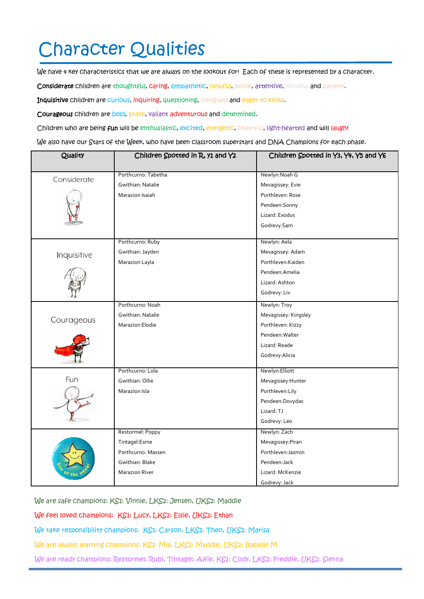## Character Qualities

We have 4 key characteristics that we are always on the lookout for! Each of these is represented by a character.

Considerate children are thoughtful, caring, sympathetic, helpful, polite, attentive, mindful and patient.

Inquisitive children are curious, inquiring, questioning, intrigued and eager to know.

Courageous children are bold, brave, valiant adventurous and determined.

Children who are being fun will be enthusiastic, excited, energetic, cheerful, light-hearted and will laugh!

We also have our Stars of the Week, who have been classroom superstars and DNA Champions for each phase.

| Quality     | Children Spotted in R, y1 and Y2 | Children Spotted in Y3, Y4, Y5 and Y6 |
|-------------|----------------------------------|---------------------------------------|
|             |                                  |                                       |
| Considerate | Porthcurno: Tabetha              | Newlyn: Noah G                        |
|             | Gwithian: Natalie                | Mevagissey: Evie                      |
|             | Marazion Isaiah                  | Porthleven: Rose                      |
|             |                                  | Pendeen: Sonny                        |
|             |                                  | Lizard: Exodus                        |
|             |                                  | Godrevy:Sam                           |
| Inquisitive | Porthcurno: Ruby                 | Newlyn: Aela                          |
|             | Gwithian: Jayden                 | Mevagissey: Adam                      |
|             | Marazion Layla                   | Porthleven:Kaiden                     |
|             |                                  | Pendeen: Amelia                       |
|             |                                  | Lizard: Ashton                        |
|             |                                  | Godrevy: Liv                          |
| Courageous  | Porthcurno: Noah                 | Newlyn: Troy                          |
|             | Gwithian: Natalie                | Mevagissey: Kingsley                  |
|             | <b>Marazion Elodie</b>           | Porthleven: Kizzy                     |
|             |                                  | Pendeen: Walter                       |
|             |                                  | Lizard: Reade                         |
|             |                                  | Godrevy: Alicia                       |
|             | Porthcurno: Lola                 | Newlyn: Elliott                       |
| Fun         | Gwithian: Ollie                  | Mevagissey: Hunter                    |
|             | Marazion Isla                    | Porthleven:Lily                       |
|             |                                  | Pendeen:Dovydas                       |
|             |                                  | Lizard: TJ                            |
|             |                                  | Godrevy: Leo                          |
|             | Restormel: Poppy                 | Newlyn: Zach                          |
|             | Tintagel:Esme                    | Mevagissey:Piran                      |
|             | Porthcurno: Massen               | Porthleven: Jazmin                    |
|             | Gwithian: Blake                  | Pendeen:Jack                          |
|             | <b>Marazion River</b>            | Lizard: McKenzie                      |
|             |                                  | Godrevy: Jack                         |

We are safe champions: KS1: Vinnie, LKS2: Jensen, UKS2: Maddie

We feel loved champions: KS1: Lucy, LKS2: Elsie, UKS2: Ethan

We take responsibility champions: KS1: Carson, LKS2: Theo, UKS2: Marisa

We are always learning champions: KS1: Mia, LKS2: Maddie, UKS2: Isabelle M

We are ready champions: Restormel: Rubi, Tintagel: Alfie, KS1: Cody, LKS2: Freddie, UKS2: Sienna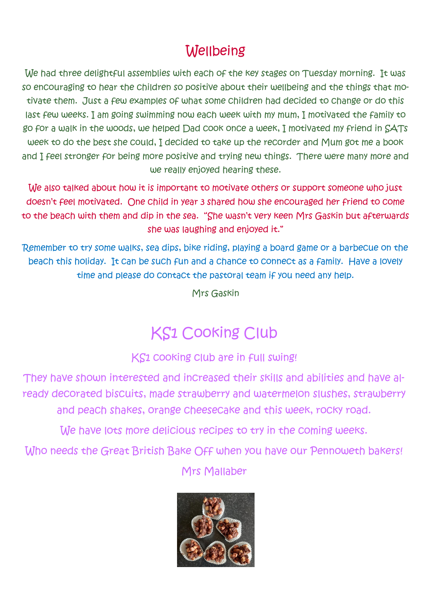## **Wellbeing**

We had three delightful assemblies with each of the key stages on Tuesday morning. It was so encouraging to hear the children so positive about their wellbeing and the things that motivate them. Just a few examples of what some children had decided to change or do this last few weeks. I am going swimming now each week with my mum, I motivated the family to go for a walk in the woods, we helped Dad cook once a week, I motivated my friend in SATs week to do the best she could, I decided to take up the recorder and Mum got me a book and I feel stronger for being more positive and trying new things. There were many more and we really enjoyed hearing these.

We also talked about how it is important to motivate others or support someone who just doesn't feel motivated. One child in year 3 shared how she encouraged her friend to come to the beach with them and dip in the sea. "She wasn't very keen Mrs Gaskin but afterwards she was laughing and enjoyed it."

Remember to try some walks, sea dips, bike riding, playing a board game or a barbecue on the beach this holiday. It can be such fun and a chance to connect as a family. Have a lovely time and please do contact the pastoral team if you need any help.

Mrs Gaskin

## KS1 Cooking Club

KS1 cooking club are in full swing!

They have shown interested and increased their skills and abilities and have already decorated biscuits, made strawberry and watermelon slushes, strawberry and peach shakes, orange cheesecake and this week, rocky road.

We have lots more delicious recipes to try in the coming weeks.

Who needs the Great British Bake Off when you have our Pennoweth bakers!

Mrs Mallaber

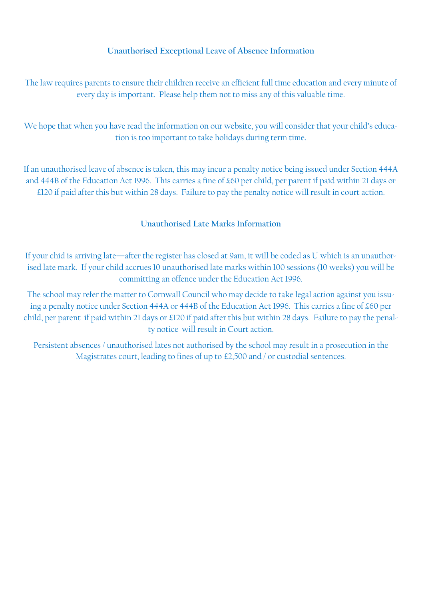## **Unauthorised Exceptional Leave of Absence Information**

The law requires parents to ensure their children receive an efficient full time education and every minute of every day is important. Please help them not to miss any of this valuable time.

We hope that when you have read the information on our website, you will consider that your child's education is too important to take holidays during term time.

If an unauthorised leave of absence is taken, this may incur a penalty notice being issued under Section 444A and 444B of the Education Act 1996. This carries a fine of £60 per child, per parent if paid within 21 days or £120 if paid after this but within 28 days. Failure to pay the penalty notice will result in court action.

## **Unauthorised Late Marks Information**

If your chid is arriving late—after the register has closed at 9am, it will be coded as U which is an unauthorised late mark. If your child accrues 10 unauthorised late marks within 100 sessions (10 weeks) you will be committing an offence under the Education Act 1996.

The school may refer the matter to Cornwall Council who may decide to take legal action against you issuing a penalty notice under Section 444A or 444B of the Education Act 1996. This carries a fine of £60 per child, per parent if paid within 21 days or £120 if paid after this but within 28 days. Failure to pay the penalty notice will result in Court action.

Persistent absences / unauthorised lates not authorised by the school may result in a prosecution in the Magistrates court, leading to fines of up to £2,500 and / or custodial sentences.